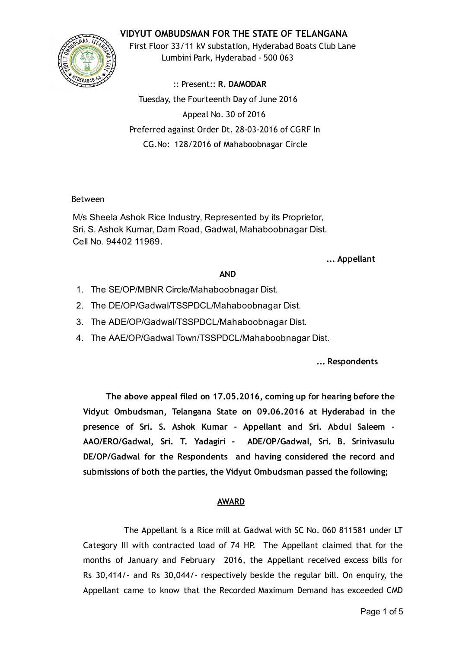# VIDYUT OMBUDSMAN FOR THE STATE OF TELANGANA



First Floor 33/11 kV substation, Hyderabad Boats Club Lane Lumbini Park, Hyderabad ‐ 500 063

:: Present:: R. DAMODAR Tuesday, the Fourteenth Day of June 2016 Appeal No. 30 of 2016 Preferred against Order Dt. 28‐03‐2016 of CGRF In CG.No: 128/2016 of Mahaboobnagar Circle

### Between

M/s Sheela Ashok Rice Industry, Represented by its Proprietor, Sri. S. Ashok Kumar, Dam Road, Gadwal, Mahaboobnagar Dist. Cell No. 94402 11969.

### ... Appellant

## AND

- 1. The SE/OP/MBNR Circle/Mahaboobnagar Dist.
- 2. The DE/OP/Gadwal/TSSPDCL/Mahaboobnagar Dist.
- 3. The ADE/OP/Gadwal/TSSPDCL/Mahaboobnagar Dist.
- 4. The AAE/OP/Gadwal Town/TSSPDCL/Mahaboobnagar Dist.

... Respondents

The above appeal filed on 17.05.2016, coming up for hearing before the Vidyut Ombudsman, Telangana State on 09.06.2016 at Hyderabad in the presence of Sri. S. Ashok Kumar ‐ Appellant and Sri. Abdul Saleem ‐ AAO/ERO/Gadwal, Sri. T. Yadagiri ‐ ADE/OP/Gadwal, Sri. B. Srinivasulu DE/OP/Gadwal for the Respondents and having considered the record and submissions of both the parties, the Vidyut Ombudsman passed the following;

### AWARD

The Appellant is a Rice mill at Gadwal with SC No. 060 811581 under LT Category III with contracted load of 74 HP. The Appellant claimed that for the months of January and February 2016, the Appellant received excess bills for Rs 30,414/‐ and Rs 30,044/‐ respectively beside the regular bill. On enquiry, the Appellant came to know that the Recorded Maximum Demand has exceeded CMD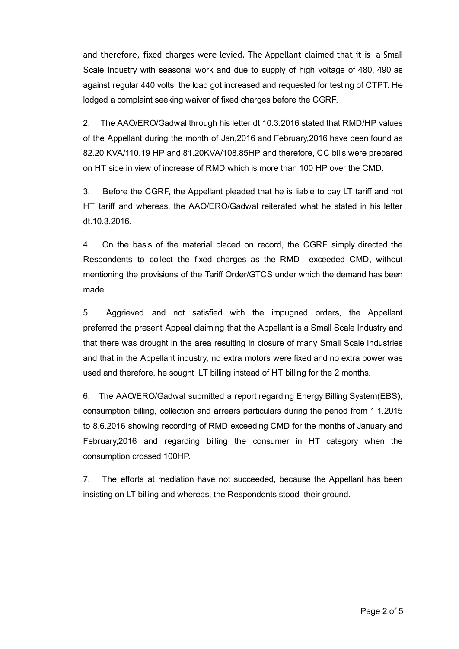and therefore, fixed charges were levied. The Appellant claimed that it is a Small Scale Industry with seasonal work and due to supply of high voltage of 480, 490 as against regular 440 volts, the load got increased and requested for testing of CTPT. He lodged a complaint seeking waiver of fixed charges before the CGRF.

2. The AAO/ERO/Gadwal through his letter dt.10.3.2016 stated that RMD/HP values of the Appellant during the month of Jan,2016 and February,2016 have been found as 82.20 KVA/110.19 HP and 81.20KVA/108.85HP and therefore, CC bills were prepared on HT side in view of increase of RMD which is more than 100 HP over the CMD.

3. Before the CGRF, the Appellant pleaded that he is liable to pay LT tariff and not HT tariff and whereas, the AAO/ERO/Gadwal reiterated what he stated in his letter dt.10.3.2016.

4. On the basis of the material placed on record, the CGRF simply directed the Respondents to collect the fixed charges as the RMD exceeded CMD, without mentioning the provisions of the Tariff Order/GTCS under which the demand has been made.

5. Aggrieved and not satisfied with the impugned orders, the Appellant preferred the present Appeal claiming that the Appellant is a Small Scale Industry and that there was drought in the area resulting in closure of many Small Scale Industries and that in the Appellant industry, no extra motors were fixed and no extra power was used and therefore, he sought LT billing instead of HT billing for the 2 months.

6. The AAO/ERO/Gadwal submitted a report regarding Energy Billing System(EBS), consumption billing, collection and arrears particulars during the period from 1.1.2015 to 8.6.2016 showing recording of RMD exceeding CMD for the months of January and February,2016 and regarding billing the consumer in HT category when the consumption crossed 100HP.

7. The efforts at mediation have not succeeded, because the Appellant has been insisting on LT billing and whereas, the Respondents stood their ground.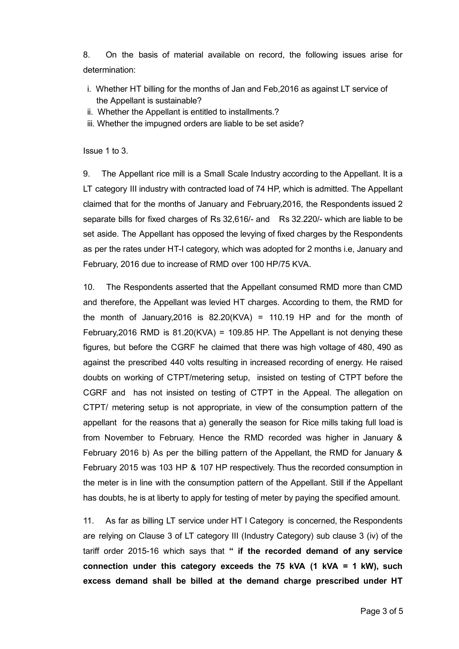8. On the basis of material available on record, the following issues arise for determination:

- i. Whether HT billing for the months of Jan and Feb,2016 as against LT service of the Appellant is sustainable?
- ii. Whether the Appellant is entitled to installments.?
- iii. Whether the impugned orders are liable to be set aside?

Issue 1 to 3.

9. The Appellant rice mill is a Small Scale Industry according to the Appellant. It is a LT category III industry with contracted load of 74 HP, which is admitted. The Appellant claimed that for the months of January and February,2016, the Respondents issued 2 separate bills for fixed charges of Rs 32,616/ and Rs 32.220/ which are liable to be set aside. The Appellant has opposed the levying of fixed charges by the Respondents as per the rates under HT-I category, which was adopted for 2 months i.e, January and February, 2016 due to increase of RMD over 100 HP/75 KVA.

10. The Respondents asserted that the Appellant consumed RMD more than CMD and therefore, the Appellant was levied HT charges. According to them, the RMD for the month of January,  $2016$  is  $82.20$ (KVA) = 110.19 HP and for the month of February, 2016 RMD is  $81.20(KVA) = 109.85$  HP. The Appellant is not denying these figures, but before the CGRF he claimed that there was high voltage of 480, 490 as against the prescribed 440 volts resulting in increased recording of energy. He raised doubts on working of CTPT/metering setup, insisted on testing of CTPT before the CGRF and has not insisted on testing of CTPT in the Appeal. The allegation on CTPT/ metering setup is not appropriate, in view of the consumption pattern of the appellant for the reasons that a) generally the season for Rice mills taking full load is from November to February. Hence the RMD recorded was higher in January & February 2016 b) As per the billing pattern of the Appellant, the RMD for January & February 2015 was 103 HP & 107 HP respectively. Thus the recorded consumption in the meter is in line with the consumption pattern of the Appellant. Still if the Appellant has doubts, he is at liberty to apply for testing of meter by paying the specified amount.

11. As far as billing LT service under HT I Category is concerned, the Respondents are relying on Clause 3 of LT category III (Industry Category) sub clause 3 (iv) of the tariff order 2015-16 which says that " if the recorded demand of any service connection under this category exceeds the 75 kVA  $(1 \text{ kVA} = 1 \text{ kW})$ , such excess demand shall be billed at the demand charge prescribed under HT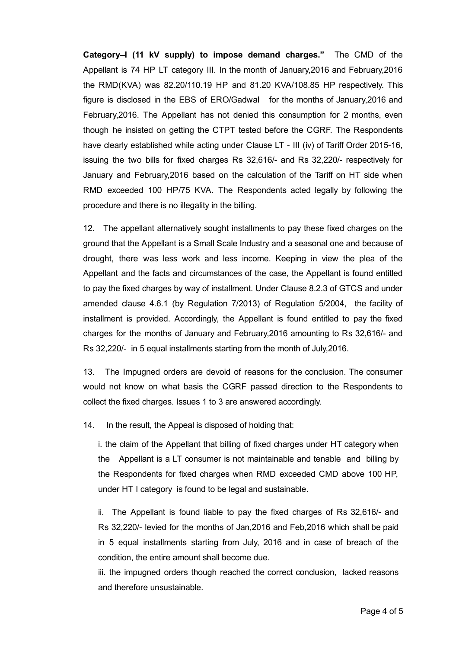Category–I (11 kV supply) to impose demand charges." The CMD of the Appellant is 74 HP LT category III. In the month of January,2016 and February,2016 the RMD(KVA) was 82.20/110.19 HP and 81.20 KVA/108.85 HP respectively. This figure is disclosed in the EBS of ERO/Gadwal for the months of January,2016 and February,2016. The Appellant has not denied this consumption for 2 months, even though he insisted on getting the CTPT tested before the CGRF. The Respondents have clearly established while acting under Clause LT - III (iv) of Tariff Order 2015-16, issuing the two bills for fixed charges Rs 32,616/ and Rs 32,220/ respectively for January and February,2016 based on the calculation of the Tariff on HT side when RMD exceeded 100 HP/75 KVA. The Respondents acted legally by following the procedure and there is no illegality in the billing.

12. The appellant alternatively sought installments to pay these fixed charges on the ground that the Appellant is a Small Scale Industry and a seasonal one and because of drought, there was less work and less income. Keeping in view the plea of the Appellant and the facts and circumstances of the case, the Appellant is found entitled to pay the fixed charges by way of installment. Under Clause 8.2.3 of GTCS and under amended clause 4.6.1 (by Regulation 7/2013) of Regulation 5/2004, the facility of installment is provided. Accordingly, the Appellant is found entitled to pay the fixed charges for the months of January and February,2016 amounting to Rs 32,616/ and Rs 32,220/- in 5 equal installments starting from the month of July, 2016.

13. The Impugned orders are devoid of reasons for the conclusion. The consumer would not know on what basis the CGRF passed direction to the Respondents to collect the fixed charges. Issues 1 to 3 are answered accordingly.

14. In the result, the Appeal is disposed of holding that:

i. the claim of the Appellant that billing of fixed charges under HT category when the Appellant is a LT consumer is not maintainable and tenable and billing by the Respondents for fixed charges when RMD exceeded CMD above 100 HP, under HT I category is found to be legal and sustainable.

ii. The Appellant is found liable to pay the fixed charges of Rs 32,616/ and Rs 32,220/ levied for the months of Jan,2016 and Feb,2016 which shall be paid in 5 equal installments starting from July, 2016 and in case of breach of the condition, the entire amount shall become due.

iii. the impugned orders though reached the correct conclusion, lacked reasons and therefore unsustainable.